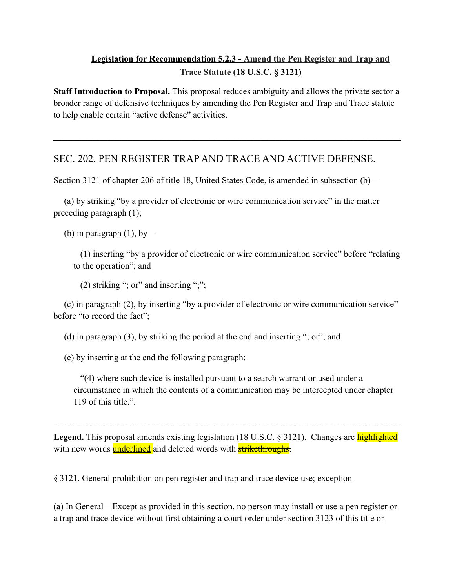## **Legislation for Recommendation 5.2.3 - Amend the Pen Register and Trap and Trace Statute (18 U.S.C. § 3121)**

**Staff Introduction to Proposal.** This proposal reduces ambiguity and allows the private sector a broader range of defensive techniques by amending the Pen Register and Trap and Trace statute to help enable certain "active defense" activities.

 $\mathcal{L}_\text{max}$  , and the contract of the contract of the contract of the contract of the contract of the contract of the contract of the contract of the contract of the contract of the contract of the contract of the contr

## SEC. 202. PEN REGISTER TRAP AND TRACE AND ACTIVE DEFENSE.

Section 3121 of chapter 206 of title 18, United States Code, is amended in subsection (b)—

(a) by striking "by a provider of electronic or wire communication service" in the matter preceding paragraph (1);

(b) in paragraph  $(1)$ , by-

(1) inserting "by a provider of electronic or wire communication service" before "relating to the operation"; and

(2) striking "; or" and inserting ";";

(c) in paragraph (2), by inserting "by a provider of electronic or wire communication service" before "to record the fact";

(d) in paragraph (3), by striking the period at the end and inserting "; or"; and

(e) by inserting at the end the following paragraph:

"(4) where such device is installed pursuant to a search warrant or used under a circumstance in which the contents of a communication may be intercepted under chapter 119 of this title.".

Legend. This proposal amends existing legislation (18 U.S.C. § 3121). Changes are **highlighted** with new words **underlined** and deleted words with **strikethroughs**.

---------------------------------------------------------------------------------------------------------------------

§ 3121. General prohibition on pen register and trap and trace device use; exception

(a) In General—Except as provided in this section, no person may install or use a pen register or a trap and trace device without first obtaining a court order under section 3123 of this title or